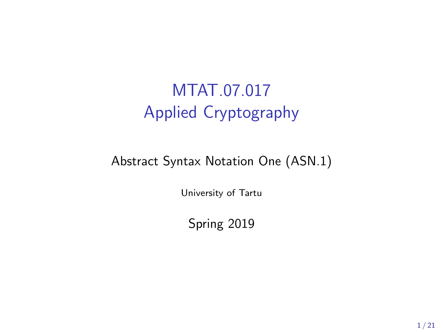# MTAT.07.017 Applied Cryptography

#### Abstract Syntax Notation One (ASN.1)

University of Tartu

Spring 2019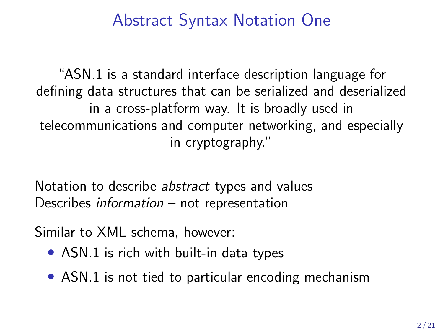### Abstract Syntax Notation One

"ASN.1 is a standard interface description language for defining data structures that can be serialized and deserialized in a cross-platform way. It is broadly used in telecommunications and computer networking, and especially in cryptography."

Notation to describe abstract types and values Describes information – not representation

Similar to XML schema, however:

- ASN.1 is rich with built-in data types
- ASN.1 is not tied to particular encoding mechanism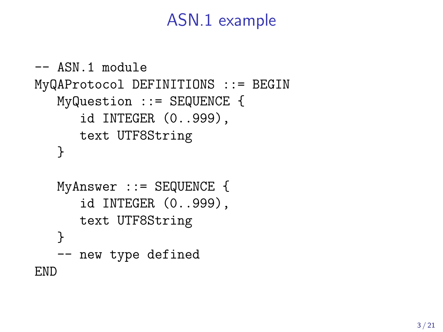### ASN.1 example

```
-- ASN.1 module
MyQAProtocol DEFINITIONS ::= BEGIN
   MyQuestion ::= SEQUENCE {
      id INTEGER (0..999),
      text UTF8String
   }
   MyAnswer ::= SEQUENCE {
      id INTEGER (0..999),
      text UTF8String
   }
   -- new type defined
END
```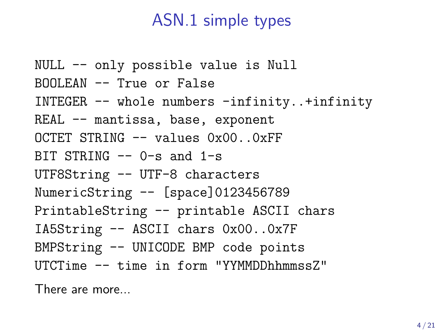### ASN.1 simple types

```
NULL -- only possible value is Null
BOOLEAN -- True or False
INTEGER -- whole numbers -infinity..+infinity
REAL -- mantissa, base, exponent
OCTET STRING - values 0x00. 0xFFBIT STRING - 0-s and 1-s
UTF8String -- UTF-8 characters
NumericString -- [space]0123456789
PrintableString -- printable ASCII chars
IA5String -- ASCII chars 0x00..0x7F
BMPString -- UNICODE BMP code points
UTCTime -- time in form "YYMMDDhhmmssZ"
```
There are more...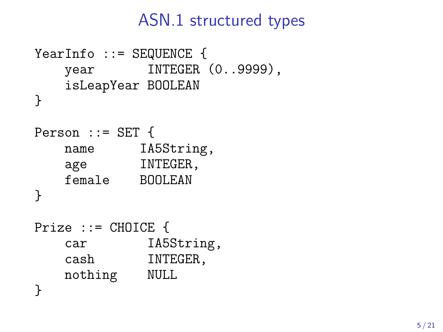### ASN.1 structured types

```
YearInfo ::= SEQUENCE {
   year INTEGER (0..9999),
   isLeapYear BOOLEAN
}
Person ::= SET {
   name IA5String,
   age INTEGER,
   female BOOLEAN
}
Prize ::= CHOICE {
   car IA5String,
   cash INTEGER,
   nothing NULL
}
```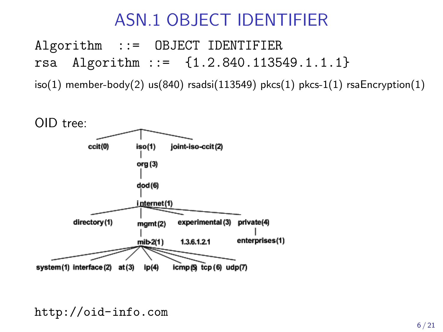# ASN.1 OBJECT IDENTIFIER

Algorithm ::= OBJECT IDENTIFIER rsa Algorithm ::= {1.2.840.113549.1.1.1}

 $iso(1)$  member-body(2) us(840) rsadsi(113549) pkcs(1) pkcs-1(1) rsaEncryption(1)



<http://oid-info.com>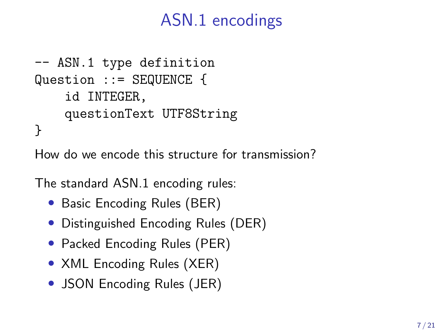# ASN.1 encodings

```
-- ASN.1 type definition
Question ::= SEQUENCE {
    id INTEGER,
    questionText UTF8String
}
```
How do we encode this structure for transmission?

The standard ASN.1 encoding rules:

- Basic Encoding Rules (BER)
- Distinguished Encoding Rules (DER)
- Packed Encoding Rules (PER)
- XML Encoding Rules (XER)
- JSON Encoding Rules (JER)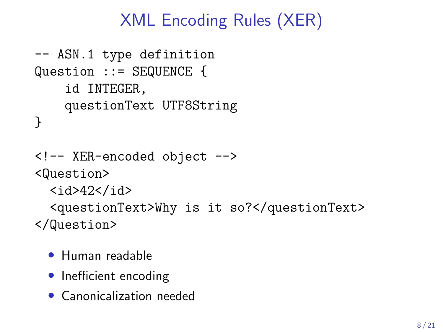# XML Encoding Rules (XER)

```
-- ASN.1 type definition
Question ::= SEQUENCE {
    id INTEGER,
    questionText UTF8String
}
<!-- XER-encoded object -->
<Question>
  <id>42</id>
  <questionText>Why is it so?</questionText>
</Question>
```
- Human readable
- Inefficient encoding
- Canonicalization needed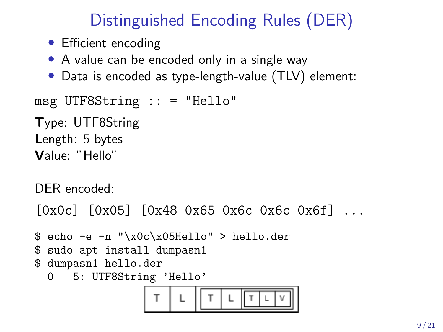# Distinguished Encoding Rules (DER)

- Efficient encoding
- A value can be encoded only in a single way
- Data is encoded as type-length-value (TLV) element:

msg UTF8String :: = "Hello"

Type: UTF8String Length: 5 bytes Value: "Hello"

DER encoded:

[0x0c] [0x05] [0x48 0x65 0x6c 0x6c 0x6f] ...

```
$ echo -e -n "\x0c\x05Hello" > hello.der
$ sudo apt install dumpasn1
$ dumpasn1 hello.der
  0 5: UTF8String 'Hello'
```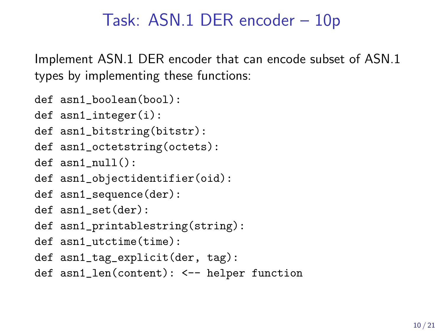### Task: ASN.1 DER encoder – 10p

Implement ASN.1 DER encoder that can encode subset of ASN.1 types by implementing these functions:

- def asn1\_boolean(bool):
- def asn1\_integer(i):
- def asn1\_bitstring(bitstr):
- def asn1\_octetstring(octets):
- def asn1\_null():
- def asn1\_objectidentifier(oid):
- def asn1\_sequence(der):
- def asn1\_set(der):
- def asn1\_printablestring(string):
- def asn1\_utctime(time):
- def asn1\_tag\_explicit(der, tag):
- def asn1\_len(content): <-- helper function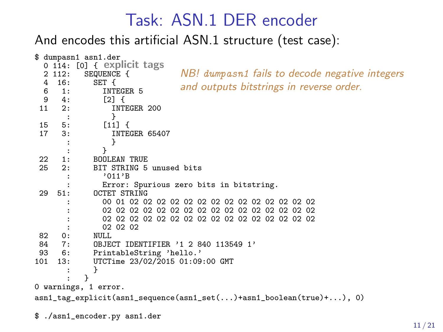#### Task: ASN.1 DER encoder

And encodes this artificial ASN.1 structure (test case):



\$ ./asn1\_encoder.py asn1.der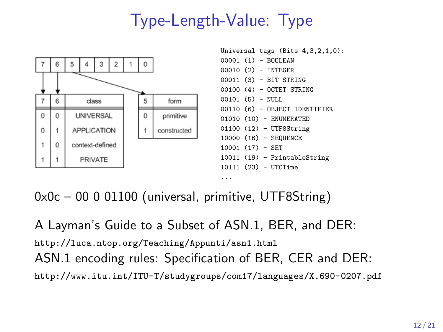# Type-Length-Value: Type



0x0c – 00 0 01100 (universal, primitive, UTF8String)

A Layman's Guide to a Subset of ASN.1, BER, and DER: <http://luca.ntop.org/Teaching/Appunti/asn1.html> ASN.1 encoding rules: Specification of BER, CER and DER: <http://www.itu.int/ITU-T/studygroups/com17/languages/X.690-0207.pdf>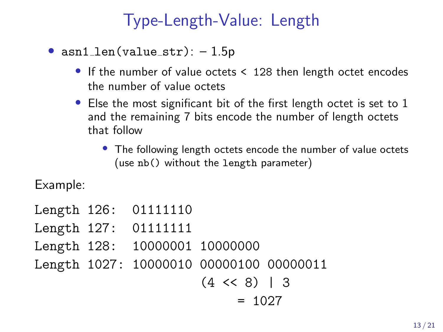# Type-Length-Value: Length

- $asn1$  len(value\_str):  $-1.5p$ 
	- If the number of value octets < 128 then length octet encodes the number of value octets
	- Else the most significant bit of the first length octet is set to 1 and the remaining 7 bits encode the number of length octets that follow
		- The following length octets encode the number of value octets (use nb() without the length parameter)

Example:

```
Length 126: 01111110
Length 127: 01111111
Length 128: 10000001 10000000
Length 1027: 10000010 00000100 00000011
                      (4 \leq 8) | 3
                           = 1027
```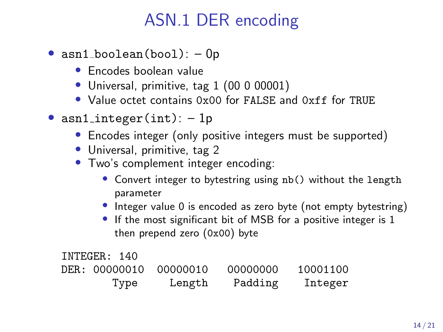- $asn1_boolean(bool): -0p$ 
	- Encodes boolean value
	- Universal, primitive, tag 1 (00 0 00001)
	- Value octet contains 0x00 for FALSE and 0xff for TRUE
- asn1\_integer(int):  $-1p$ 
	- Encodes integer (only positive integers must be supported)
	- Universal, primitive, tag 2
	- Two's complement integer encoding:
		- Convert integer to bytestring using nb() without the length parameter
		- Integer value 0 is encoded as zero byte (not empty bytestring)
		- If the most significant bit of MSB for a positive integer is 1 then prepend zero (0x00) byte

INTEGER: 140 DER: 00000010 00000010 00000000 10001100 Type Length Padding Integer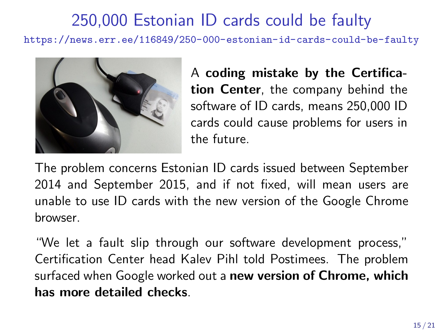## 250,000 Estonian ID cards could be faulty

<https://news.err.ee/116849/250-000-estonian-id-cards-could-be-faulty>



A coding mistake by the Certification Center, the company behind the software of ID cards, means 250,000 ID cards could cause problems for users in the future.

The problem concerns Estonian ID cards issued between September 2014 and September 2015, and if not fixed, will mean users are unable to use ID cards with the new version of the Google Chrome browser.

"We let a fault slip through our software development process," Certification Center head Kalev Pihl told Postimees. The problem surfaced when Google worked out a new version of Chrome, which has more detailed checks.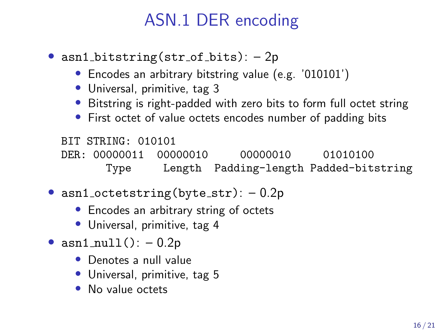- asn1\_bitstring(str\_of\_bits):  $-2p$ 
	- Encodes an arbitrary bitstring value (e.g. '010101')
	- Universal, primitive, tag 3
	- Bitstring is right-padded with zero bits to form full octet string
	- First octet of value octets encodes number of padding bits

BIT STRING: 010101 DER: 00000011 00000010 00000010 01010100 Type Length Padding-length Padded-bitstring

- asn1\_octetstring(byte\_str):  $-0.2p$ 
	- Encodes an arbitrary string of octets
	- Universal, primitive, tag 4
- $asn1_null()$ : 0.2p
	- Denotes a null value
	- Universal, primitive, tag 5
	- No value octets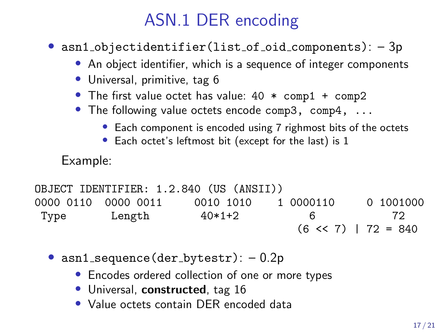• asn1\_objectidentifier(list\_of\_oid\_components): -3p

- An object identifier, which is a sequence of integer components
- Universal, primitive, tag 6
- The first value octet has value:  $40 * \text{comp1} + \text{comp2}$
- The following value octets encode comp3, comp4, ...
	- Each component is encoded using 7 righmost bits of the octets
	- Each octet's leftmost bit (except for the last) is 1

Example:

```
OBJECT IDENTIFIER: 1.2.840 (US (ANSII))
0000 0110 0000 0011 0010 1010 1 0000110 0 1001000
Type Length 40*1+2 6 72
                               (6 \le 7) | 72 = 840
```
- asn1\_sequence(der\_bytestr):  $-0.2p$ 
	- Encodes ordered collection of one or more types
	- Universal, constructed, tag 16
	- Value octets contain DER encoded data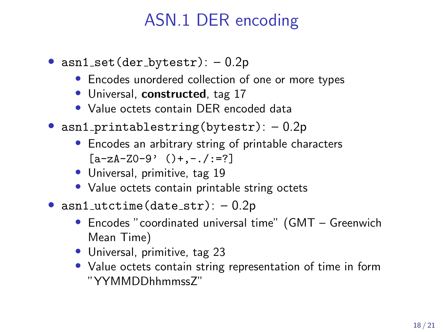- $asn1_set(der_bytestr): -0.2p$ 
	- Encodes unordered collection of one or more types
	- Universal, constructed, tag 17
	- Value octets contain DER encoded data
- asn1\_printablestring(bytestr):  $-0.2p$ 
	- Encodes an arbitrary string of printable characters  $[a-zA-Z0-9' ()+,-./:=?]$
	- Universal, primitive, tag 19
	- Value octets contain printable string octets
- $asn1$ -utctime (date-str):  $-0.2p$ 
	- Encodes "coordinated universal time" (GMT Greenwich Mean Time)
	- Universal, primitive, tag 23
	- Value octets contain string representation of time in form "YYMMDDhhmmssZ"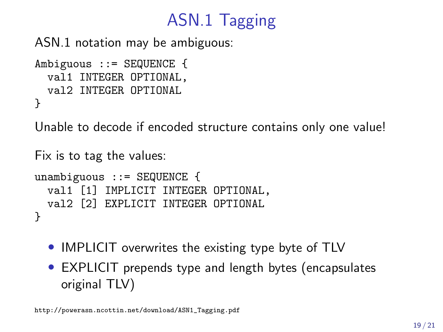# ASN.1 Tagging

ASN.1 notation may be ambiguous:

```
Ambiguous ::= SEQUENCE {
  val1 INTEGER OPTIONAL,
  val2 INTEGER OPTIONAL
}
```
Unable to decode if encoded structure contains only one value!

```
Fix is to tag the values:
unambiguous ::= SEQUENCE {
  val1 [1] IMPLICIT INTEGER OPTIONAL,
  val2 [2] EXPLICIT INTEGER OPTIONAL
}
```
- IMPLICIT overwrites the existing type byte of TLV
- EXPLICIT prepends type and length bytes (encapsulates original TLV)

[http://powerasn.ncottin.net/download/ASN1\\_Tagging.pdf](http://powerasn.ncottin.net/download/ASN1_Tagging.pdf)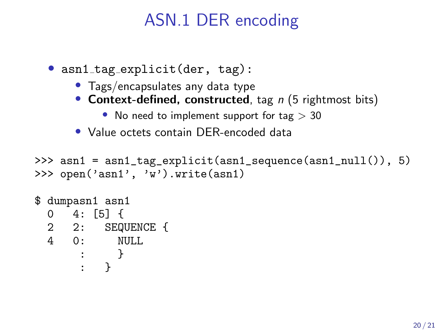• asn1\_tag\_explicit(der, tag):

- Tags/encapsulates any data type
- Context-defined, constructed, tag  $n$  (5 rightmost bits)
	- No need to implement support for tag  $> 30$
- Value octets contain DER-encoded data

```
>>> asn1 = asn1_tag_explicit(asn1_sequence(asn1_null()), 5)
>>> open('asn1', 'w').write(asn1)
```

```
$ dumpasn1 asn1
  0 \t 4: 51 \t 62 2: SEQUENCE {<br>4 0: NULL
    0: NULL
       : }
       : }
```